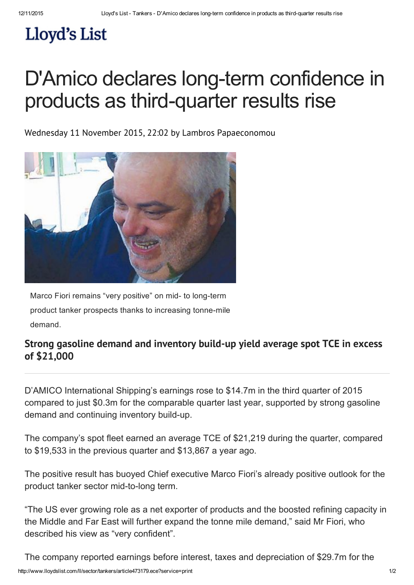## Lloyd's List

## D'Amico declares long-term confidence in products as third-quarter results rise

Wednesday 11 November 2015, 22:02 by Lambros Papaeconomou



Marco Fiori remains "very positive" on mid- to long-term product tanker prospects thanks to increasing tonne-mile demand.

## Strong gasoline demand and inventory build-up yield average spot TCE in excess of \$21,000

D'AMICO International Shipping's earnings rose to \$14.7m in the third quarter of 2015 compared to just \$0.3m for the comparable quarter last year, supported by strong gasoline demand and continuing inventory build-up.

The company's spot fleet earned an average TCE of \$21,219 during the quarter, compared to \$19,533 in the previous quarter and \$13,867 a year ago.

The positive result has buoyed Chief executive Marco Fiori's already positive outlook for the product tanker sector mid-to-long term.

"The US ever growing role as a net exporter of products and the boosted refining capacity in the Middle and Far East will further expand the tonne mile demand," said Mr Fiori, who described his view as "very confident".

http://www.lloydslist.com/ll/sector/tankers/article473179.ece?service=print 1/2 The company reported earnings before interest, taxes and depreciation of \$29.7m for the